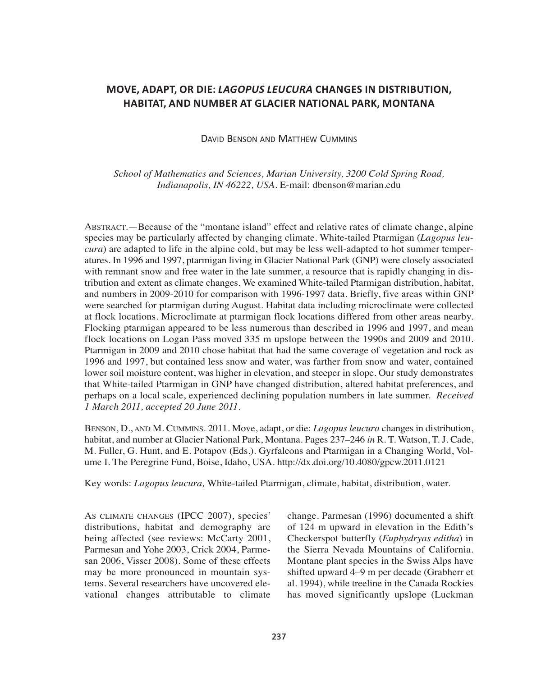# **MOVE, ADAPT, OR DIE:** *LAGOPUS LEUCURA* **CHANGES IN DISTRIBUTION, HABITAT, AND NUMBER AT GLACIER NATIONAL PARK, MONTANA**

## DAVID BENSON AND MATTHEW CUMMINS

*School of Mathematics and Sciences, Marian University, 3200 Cold Spring Road, Indianapolis, IN 46222, USA.* E-mail: dbenson@marian.edu

ABSTRACT.—Because of the "montane island" effect and relative rates of climate change, alpine species may be particularly affected by changing climate. White-tailed Ptarmigan (*Lagopus leucura*) are adapted to life in the alpine cold, but may be less well-adapted to hot summer temperatures. In 1996 and 1997, ptarmigan living in Glacier National Park (GNP) were closely associated with remnant snow and free water in the late summer, a resource that is rapidly changing in distribution and extent as climate changes. We examined White-tailed Ptarmigan distribution, habitat, and numbers in 2009-2010 for comparison with 1996-1997 data. Briefly, five areas within GNP were searched for ptarmigan during August. Habitat data including microclimate were collected at flock locations. Microclimate at ptarmigan flock locations differed from other areas nearby. Flocking ptarmigan appeared to be less numerous than described in 1996 and 1997, and mean flock locations on Logan Pass moved 335 m upslope between the 1990s and 2009 and 2010. Ptarmigan in 2009 and 2010 chose habitat that had the same coverage of vegetation and rock as 1996 and 1997, but contained less snow and water, was farther from snow and water, contained lower soil moisture content, was higher in elevation, and steeper in slope. Our study demonstrates that White-tailed Ptarmigan in GNP have changed distribution, altered habitat preferences, and perhaps on a local scale, experienced declining population numbers in late summer. *Received 1 March 2011, accepted 20 June 2011.*

BENSON, D., AND M. CUMMINS. 2011. Move, adapt, or die: *Lagopus leucura* changes in distribution, habitat, and number at Glacier National Park, Montana. Pages 237–246 *in* R. T. Watson, T. J. Cade, M. Fuller, G. Hunt, and E. Potapov (Eds.). Gyrfalcons and Ptarmigan in a Changing World, Volume I. The Peregrine Fund, Boise, Idaho, USA. http://dx.doi.org/10.4080/gpcw.2011.0121

Key words: *Lagopus leucura,* White-tailed Ptarmigan, climate, habitat, distribution, water.

AS CLIMATE CHANGES (IPCC 2007), species' distributions, habitat and demography are being affected (see reviews: McCarty 2001, Parmesan and Yohe 2003, Crick 2004, Parmesan 2006, Visser 2008). Some of these effects may be more pronounced in mountain systems. Several researchers have uncovered elevational changes attributable to climate change. Parmesan (1996) documented a shift of 124 m upward in elevation in the Edith's Checkerspot butterfly (*Euphydryas editha*) in the Sierra Nevada Mountains of California. Montane plant species in the Swiss Alps have shifted upward 4–9 m per decade (Grabherr et al. 1994), while treeline in the Canada Rockies has moved significantly upslope (Luckman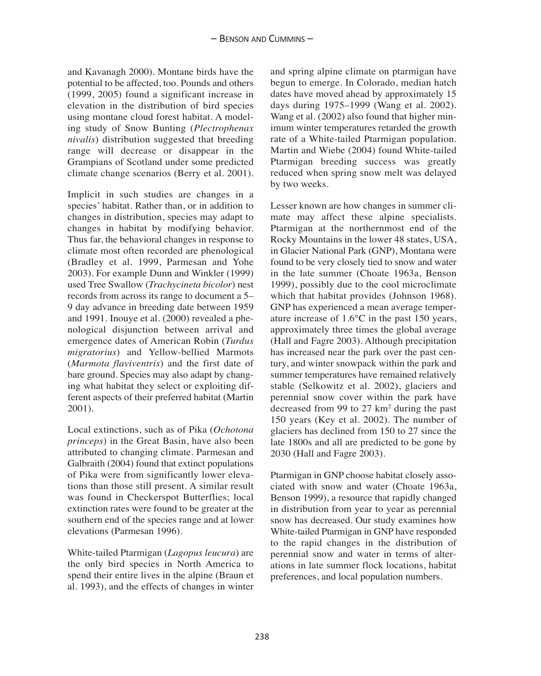and Kavanagh 2000). Montane birds have the potential to be affected, too. Pounds and others (1999, 2005) found a significant increase in elevation in the distribution of bird species using montane cloud forest habitat. A modeling study of Snow Bunting (*Plectrophenax nivalis*) distribution suggested that breeding range will decrease or disappear in the Grampians of Scotland under some predicted climate change scenarios (Berry et al. 2001).

Implicit in such studies are changes in a species' habitat. Rather than, or in addition to changes in distribution, species may adapt to changes in habitat by modifying behavior. Thus far, the behavioral changes in response to climate most often recorded are phenological (Bradley et al. 1999, Parmesan and Yohe 2003). For example Dunn and Winkler (1999) used Tree Swallow (*Trachycineta bicolor*) nest records from across its range to document a 5– 9 day advance in breeding date between 1959 and 1991. Inouye et al. (2000) revealed a phenological disjunction between arrival and emergence dates of American Robin (*Turdus migratorius*) and Yellow-bellied Marmots (*Marmota flaviventris*) and the first date of bare ground. Species may also adapt by changing what habitat they select or exploiting different aspects of their preferred habitat (Martin 2001).

Local extinctions, such as of Pika (*Ochotona princeps*) in the Great Basin, have also been attributed to changing climate. Parmesan and Galbraith (2004) found that extinct populations of Pika were from significantly lower elevations than those still present. A similar result was found in Checkerspot Butterflies; local extinction rates were found to be greater at the southern end of the species range and at lower elevations (Parmesan 1996).

White-tailed Ptarmigan (*Lagopus leucura*) are the only bird species in North America to spend their entire lives in the alpine (Braun et al. 1993), and the effects of changes in winter

and spring alpine climate on ptarmigan have begun to emerge. In Colorado, median hatch dates have moved ahead by approximately 15 days during 1975–1999 (Wang et al. 2002). Wang et al. (2002) also found that higher minimum winter temperatures retarded the growth rate of a White-tailed Ptarmigan population. Martin and Wiebe (2004) found White-tailed Ptarmigan breeding success was greatly reduced when spring snow melt was delayed by two weeks.

Lesser known are how changes in summer climate may affect these alpine specialists. Ptarmigan at the northernmost end of the Rocky Mountains in the lower 48 states, USA, in Glacier National Park (GNP), Montana were found to be very closely tied to snow and water in the late summer (Choate 1963a, Benson 1999), possibly due to the cool microclimate which that habitat provides (Johnson 1968). GNP has experienced a mean average temperature increase of 1.6°C in the past 150 years, approximately three times the global average (Hall and Fagre 2003). Although precipitation has increased near the park over the past century, and winter snowpack within the park and summer temperatures have remained relatively stable (Selkowitz et al. 2002), glaciers and perennial snow cover within the park have decreased from 99 to 27 km2 during the past 150 years (Key et al. 2002). The number of glaciers has declined from 150 to 27 since the late 1800s and all are predicted to be gone by 2030 (Hall and Fagre 2003).

Ptarmigan in GNP choose habitat closely associated with snow and water (Choate 1963a, Benson 1999), a resource that rapidly changed in distribution from year to year as perennial snow has decreased. Our study examines how White-tailed Ptarmigan in GNP have responded to the rapid changes in the distribution of perennial snow and water in terms of alterations in late summer flock locations, habitat preferences, and local population numbers.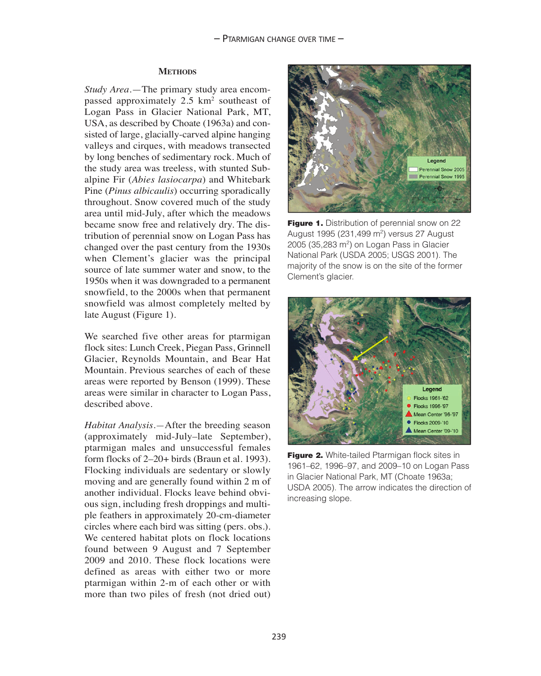#### **METHODS**

*Study Area.*—The primary study area encompassed approximately 2.5 km2 southeast of Logan Pass in Glacier National Park, MT, USA, as described by Choate (1963a) and consisted of large, glacially-carved alpine hanging valleys and cirques, with meadows transected by long benches of sedimentary rock. Much of the study area was treeless, with stunted Subalpine Fir (*Abies lasiocarpa*) and Whitebark Pine (*Pinus albicaulis*) occurring sporadically throughout. Snow covered much of the study area until mid-July, after which the meadows became snow free and relatively dry. The distribution of perennial snow on Logan Pass has changed over the past century from the 1930s when Clement's glacier was the principal source of late summer water and snow, to the 1950s when it was downgraded to a permanent snowfield, to the 2000s when that permanent snowfield was almost completely melted by late August (Figure 1).

We searched five other areas for ptarmigan flock sites: Lunch Creek, Piegan Pass, Grinnell Glacier, Reynolds Mountain, and Bear Hat Mountain. Previous searches of each of these areas were reported by Benson (1999). These areas were similar in character to Logan Pass, described above.

*Habitat Analysis.—*After the breeding season (approximately mid-July–late September), ptarmigan males and unsuccessful females form flocks of 2–20+ birds (Braun et al. 1993). Flocking individuals are sedentary or slowly moving and are generally found within 2 m of another individual. Flocks leave behind obvious sign, including fresh droppings and multiple feathers in approximately 20-cm-diameter circles where each bird was sitting (pers. obs.). We centered habitat plots on flock locations found between 9 August and 7 September 2009 and 2010. These flock locations were defined as areas with either two or more ptarmigan within 2-m of each other or with more than two piles of fresh (not dried out)



**Figure 1.** Distribution of perennial snow on 22 August 1995 (231,499 m2) versus 27 August  $2005$  (35,283 m<sup>2</sup>) on Logan Pass in Glacier National Park (USDA 2005; USGS 2001). The majority of the snow is on the site of the former Clement's glacier.



**Figure 2.** White-tailed Ptarmigan flock sites in 1961–62, 1996–97, and 2009–10 on Logan Pass in Glacier National Park, MT (Choate 1963a; USDA 2005). The arrow indicates the direction of increasing slope.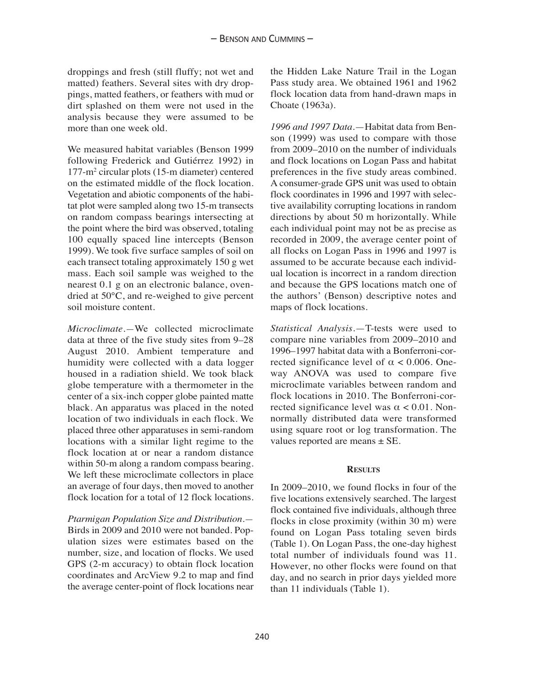droppings and fresh (still fluffy; not wet and matted) feathers. Several sites with dry droppings, matted feathers, or feathers with mud or dirt splashed on them were not used in the analysis because they were assumed to be more than one week old.

We measured habitat variables (Benson 1999 following Frederick and Gutiérrez 1992) in 177-m2 circular plots (15-m diameter) centered on the estimated middle of the flock location. Vegetation and abiotic components of the habitat plot were sampled along two 15-m transects on random compass bearings intersecting at the point where the bird was observed, totaling 100 equally spaced line intercepts (Benson 1999). We took five surface samples of soil on each transect totaling approximately 150 g wet mass. Each soil sample was weighed to the nearest 0.1 g on an electronic balance, ovendried at 50°C, and re-weighed to give percent soil moisture content.

*Microclimate.—*We collected microclimate data at three of the five study sites from 9–28 August 2010. Ambient temperature and humidity were collected with a data logger housed in a radiation shield. We took black globe temperature with a thermometer in the center of a six-inch copper globe painted matte black. An apparatus was placed in the noted location of two individuals in each flock. We placed three other apparatuses in semi-random locations with a similar light regime to the flock location at or near a random distance within 50-m along a random compass bearing. We left these microclimate collectors in place an average of four days, then moved to another flock location for a total of 12 flock locations.

*Ptarmigan Population Size and Distribution.—* Birds in 2009 and 2010 were not banded. Population sizes were estimates based on the number, size, and location of flocks. We used GPS (2-m accuracy) to obtain flock location coordinates and ArcView 9.2 to map and find the average center-point of flock locations near the Hidden Lake Nature Trail in the Logan Pass study area. We obtained 1961 and 1962 flock location data from hand-drawn maps in Choate (1963a).

*1996 and 1997 Data.*—Habitat data from Benson (1999) was used to compare with those from 2009–2010 on the number of individuals and flock locations on Logan Pass and habitat preferences in the five study areas combined. A consumer-grade GPS unit was used to obtain flock coordinates in 1996 and 1997 with selective availability corrupting locations in random directions by about 50 m horizontally. While each individual point may not be as precise as recorded in 2009, the average center point of all flocks on Logan Pass in 1996 and 1997 is assumed to be accurate because each individual location is incorrect in a random direction and because the GPS locations match one of the authors' (Benson) descriptive notes and maps of flock locations.

*Statistical Analysis.*—T-tests were used to compare nine variables from 2009–2010 and 1996–1997 habitat data with a Bonferroni-corrected significance level of  $\alpha$  < 0.006. Oneway ANOVA was used to compare five microclimate variables between random and flock locations in 2010. The Bonferroni-corrected significance level was  $\alpha$  < 0.01. Nonnormally distributed data were transformed using square root or log transformation. The values reported are means ± SE.

### **RESULTS**

In 2009–2010, we found flocks in four of the five locations extensively searched. The largest flock contained five individuals, although three flocks in close proximity (within 30 m) were found on Logan Pass totaling seven birds (Table 1). On Logan Pass, the one-day highest total number of individuals found was 11. However, no other flocks were found on that day, and no search in prior days yielded more than 11 individuals (Table 1).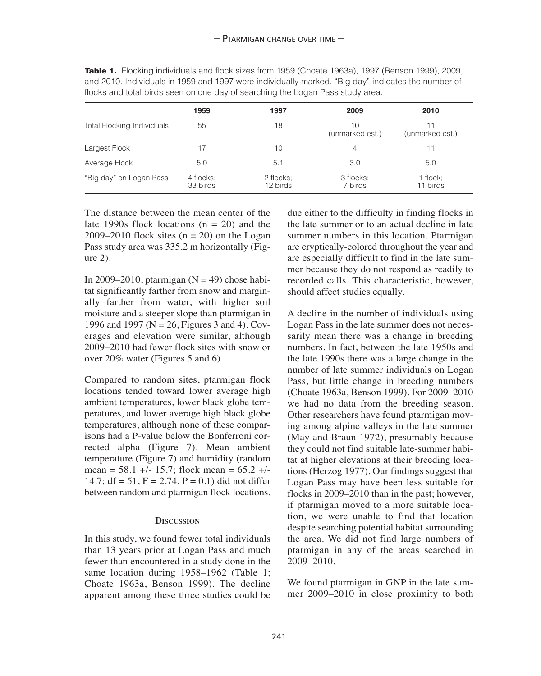|                                   | 1959                  | 1997                  | 2009                  | 2010                 |
|-----------------------------------|-----------------------|-----------------------|-----------------------|----------------------|
| <b>Total Flocking Individuals</b> | 55                    | 18                    | 10<br>(unmarked est.) | (unmarked est.)      |
| Largest Flock                     | 17                    | 10                    | 4                     | 11                   |
| Average Flock                     | 5.0                   | 5.1                   | 3.0                   | 5.0                  |
| "Big day" on Logan Pass           | 4 flocks:<br>33 birds | 2 flocks:<br>12 birds | 3 flocks:<br>7 birds  | 1 flock;<br>11 birds |

**Table 1.** Flocking individuals and flock sizes from 1959 (Choate 1963a), 1997 (Benson 1999), 2009, and 2010. Individuals in 1959 and 1997 were individually marked. "Big day" indicates the number of flocks and total birds seen on one day of searching the Logan Pass study area.

The distance between the mean center of the late 1990s flock locations  $(n = 20)$  and the 2009–2010 flock sites  $(n = 20)$  on the Logan Pass study area was 335.2 m horizontally (Figure 2).

In 2009–2010, ptarmigan  $(N = 49)$  chose habitat significantly farther from snow and marginally farther from water, with higher soil moisture and a steeper slope than ptarmigan in 1996 and 1997 (N = 26, Figures 3 and 4). Coverages and elevation were similar, although 2009–2010 had fewer flock sites with snow or over 20% water (Figures 5 and 6).

Compared to random sites, ptarmigan flock locations tended toward lower average high ambient temperatures, lower black globe temperatures, and lower average high black globe temperatures, although none of these comparisons had a P-value below the Bonferroni corrected alpha (Figure 7). Mean ambient temperature (Figure 7) and humidity (random mean =  $58.1 +/- 15.7$ ; flock mean =  $65.2 +/-$ 14.7;  $df = 51$ ,  $F = 2.74$ ,  $P = 0.1$ ) did not differ between random and ptarmigan flock locations.

#### **DISCUSSION**

In this study, we found fewer total individuals than 13 years prior at Logan Pass and much fewer than encountered in a study done in the same location during 1958–1962 (Table 1; Choate 1963a, Benson 1999). The decline apparent among these three studies could be

due either to the difficulty in finding flocks in the late summer or to an actual decline in late summer numbers in this location. Ptarmigan are cryptically-colored throughout the year and are especially difficult to find in the late summer because they do not respond as readily to recorded calls. This characteristic, however, should affect studies equally.

A decline in the number of individuals using Logan Pass in the late summer does not necessarily mean there was a change in breeding numbers. In fact, between the late 1950s and the late 1990s there was a large change in the number of late summer individuals on Logan Pass, but little change in breeding numbers (Choate 1963a, Benson 1999). For 2009–2010 we had no data from the breeding season. Other researchers have found ptarmigan moving among alpine valleys in the late summer (May and Braun 1972), presumably because they could not find suitable late-summer habitat at higher elevations at their breeding locations (Herzog 1977). Our findings suggest that Logan Pass may have been less suitable for flocks in 2009–2010 than in the past; however, if ptarmigan moved to a more suitable location, we were unable to find that location despite searching potential habitat surrounding the area. We did not find large numbers of ptarmigan in any of the areas searched in 2009–2010.

We found ptarmigan in GNP in the late summer 2009–2010 in close proximity to both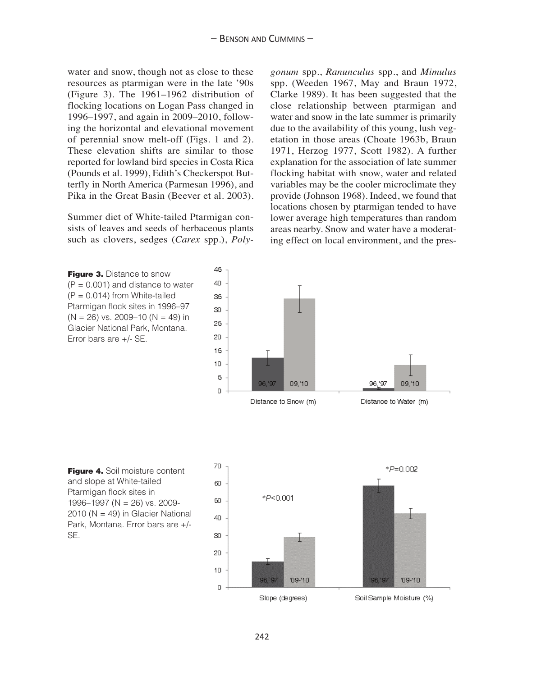water and snow, though not as close to these resources as ptarmigan were in the late '90s (Figure 3). The 1961–1962 distribution of flocking locations on Logan Pass changed in 1996–1997, and again in 2009–2010, following the horizontal and elevational movement of perennial snow melt-off (Figs. 1 and 2). These elevation shifts are similar to those reported for lowland bird species in Costa Rica (Pounds et al. 1999), Edith's Checkerspot Butterfly in North America (Parmesan 1996), and Pika in the Great Basin (Beever et al. 2003).

Summer diet of White-tailed Ptarmigan consists of leaves and seeds of herbaceous plants such as clovers, sedges (*Carex* spp.), *Poly-* *gonum* spp., *Ranunculus* spp., and *Mimulus* spp. (Weeden 1967, May and Braun 1972, Clarke 1989). It has been suggested that the close relationship between ptarmigan and water and snow in the late summer is primarily due to the availability of this young, lush vegetation in those areas (Choate 1963b, Braun 1971, Herzog 1977, Scott 1982). A further explanation for the association of late summer flocking habitat with snow, water and related variables may be the cooler microclimate they provide (Johnson 1968). Indeed, we found that locations chosen by ptarmigan tended to have lower average high temperatures than random areas nearby. Snow and water have a moderating effect on local environment, and the pres-

**Figure 3. Distance to snow**  $(P = 0.001)$  and distance to water  $(P = 0.014)$  from White-tailed Ptarmigan flock sites in 1996–97  $(N = 26)$  vs. 2009–10  $(N = 49)$  in Glacier National Park, Montana. Error bars are +/- SE.



**Figure 4.** Soil moisture content and slope at White-tailed Ptarmigan flock sites in 1996–1997 (N = 26) vs. 2009-  $2010$  (N = 49) in Glacier National Park, Montana. Error bars are +/- SE.

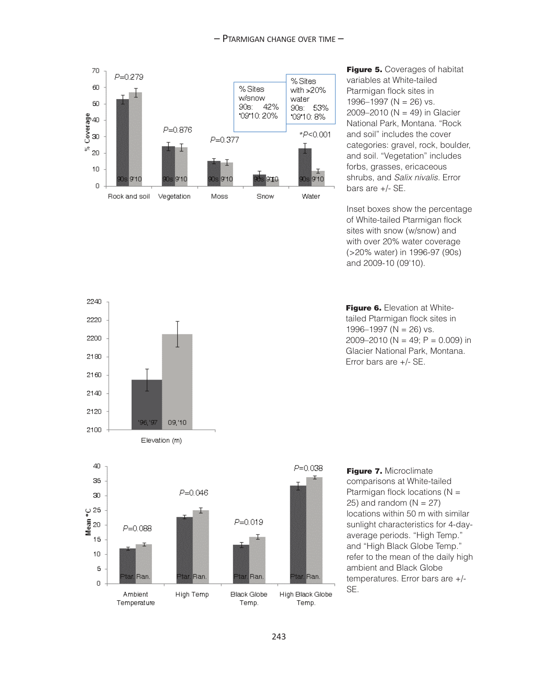

**Figure 5.** Coverages of habitat variables at White-tailed Ptarmigan flock sites in 1996–1997 ( $N = 26$ ) vs. 2009–2010 ( $N = 49$ ) in Glacier National Park, Montana. "Rock and soil" includes the cover categories: gravel, rock, boulder, and soil. "Vegetation" includes forbs, grasses, ericaceous shrubs, and Salix nivalis. Error bars are +/- SE.

Inset boxes show the percentage of White-tailed Ptarmigan flock sites with snow (w/snow) and with over 20% water coverage (>20% water) in 1996-97 (90s) and 2009-10 (09'10).







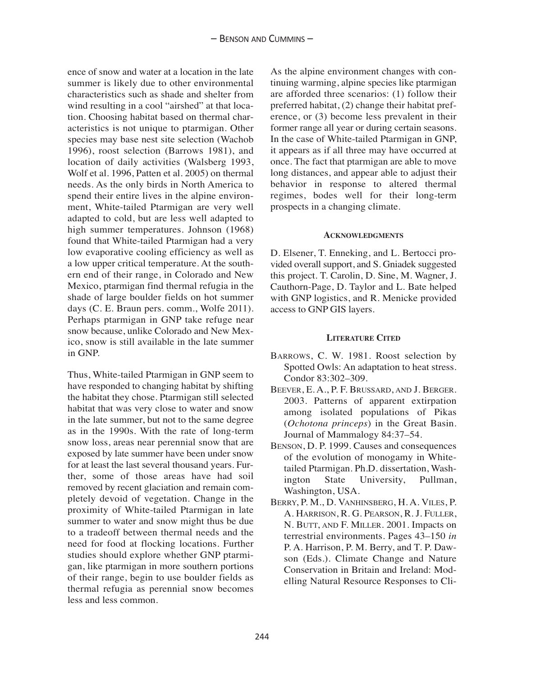ence of snow and water at a location in the late summer is likely due to other environmental characteristics such as shade and shelter from wind resulting in a cool "airshed" at that location. Choosing habitat based on thermal characteristics is not unique to ptarmigan. Other species may base nest site selection (Wachob 1996), roost selection (Barrows 1981), and location of daily activities (Walsberg 1993, Wolf et al. 1996, Patten et al. 2005) on thermal needs. As the only birds in North America to spend their entire lives in the alpine environment, White-tailed Ptarmigan are very well adapted to cold, but are less well adapted to high summer temperatures. Johnson (1968) found that White-tailed Ptarmigan had a very low evaporative cooling efficiency as well as a low upper critical temperature. At the southern end of their range, in Colorado and New Mexico, ptarmigan find thermal refugia in the shade of large boulder fields on hot summer days (C. E. Braun pers. comm., Wolfe 2011). Perhaps ptarmigan in GNP take refuge near snow because, unlike Colorado and New Mexico, snow is still available in the late summer in GNP.

Thus, White-tailed Ptarmigan in GNP seem to have responded to changing habitat by shifting the habitat they chose. Ptarmigan still selected habitat that was very close to water and snow in the late summer, but not to the same degree as in the 1990s. With the rate of long-term snow loss, areas near perennial snow that are exposed by late summer have been under snow for at least the last several thousand years. Further, some of those areas have had soil removed by recent glaciation and remain completely devoid of vegetation. Change in the proximity of White-tailed Ptarmigan in late summer to water and snow might thus be due to a tradeoff between thermal needs and the need for food at flocking locations. Further studies should explore whether GNP ptarmigan, like ptarmigan in more southern portions of their range, begin to use boulder fields as thermal refugia as perennial snow becomes less and less common.

As the alpine environment changes with continuing warming, alpine species like ptarmigan are afforded three scenarios: (1) follow their preferred habitat, (2) change their habitat preference, or (3) become less prevalent in their former range all year or during certain seasons. In the case of White-tailed Ptarmigan in GNP, it appears as if all three may have occurred at once. The fact that ptarmigan are able to move long distances, and appear able to adjust their behavior in response to altered thermal regimes, bodes well for their long-term prospects in a changing climate.

### **ACKNOWLEDGMENTS**

D. Elsener, T. Enneking, and L. Bertocci provided overall support, and S. Gniadek suggested this project. T. Carolin, D. Sine, M. Wagner, J. Cauthorn-Page, D. Taylor and L. Bate helped with GNP logistics, and R. Menicke provided access to GNP GIS layers.

#### **LITERATURE CITED**

- [BARROWS, C. W. 1981. Roost selection by](http://www.jstor.org/discover/10.2307/1367496?uid=3739648&uid=2&uid=4&uid=3739256&sid=55977631373) Spotted Owls: An adaptation to heat stress. Condor 83:302–309.
- BEEVER, E. A., P. F. BRUSSARD, AND J. BERGER. [2003. Patterns of apparent extirpation](http://www.bioone.org/doi/abs/10.1644/1545-1542%282003%29084%3C0037%3APOAEAI%3E2.0.CO%3B2) among isolated populations of Pikas (*Ochotona princeps*) in the Great Basin. Journal of Mammalogy 84:37–54.
- BENSON, D. P. 1999. Causes and consequences of the evolution of monogamy in Whitetailed Ptarmigan. Ph.D. dissertation, Washington State University, Pullman, Washington, USA.
- BERRY, P. M., D. VANHINSBERG, H. A. VILES, P. A. HARRISON, R. G. PEARSON, R. J. FULLER, N. BUTT, AND F. MILLER. 2001. Impacts on terrestrial environments. Pages 43–150 *in* P. A. Harrison, P. M. Berry, and T. P. Dawson (Eds.). Climate Change and Nature Conservation in Britain and Ireland: Modelling Natural Resource Responses to Cli-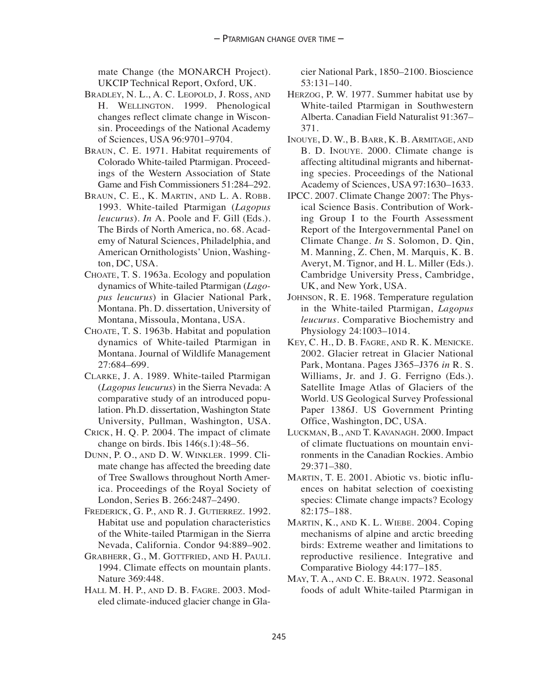mate Change (the MONARCH Project). UKCIP Technical Report, Oxford, UK.

- [BRADLEY, N. L., A. C. LEOPOLD, J. ROSS, AND](http://www.pnas.org/content/96/17/9701) H. WELLINGTON. 1999. Phenological changes reflect climate change in Wisconsin. Proceedings of the National Academy of Sciences, USA 96:9701–9704.
- BRAUN, C. E. 1971. Habitat requirements of Colorado White-tailed Ptarmigan. Proceedings of the Western Association of State Game and Fish Commissioners 51:284–292.
- BRAUN, C. E., K. MARTIN, AND L. A. ROBB. 1993. White-tailed Ptarmigan (*Lagopus leucurus*). *In* A. Poole and F. Gill (Eds.). The Birds of North America, no. 68. Academy of Natural Sciences, Philadelphia, and American Ornithologists' Union, Washington, DC, USA.
- CHOATE, T. S. 1963a. Ecology and population dynamics of White-tailed Ptarmigan (*Lagopus leucurus*) in Glacier National Park, Montana. Ph. D. dissertation, University of Montana, Missoula, Montana, USA.
- [CHOATE, T. S. 1963b. Habitat and population](http://www.jstor.org/discover/10.2307/3798485?uid=3739648&uid=2&uid=4&uid=3739256&sid=55977631373) dynamics of White-tailed Ptarmigan in Montana. Journal of Wildlife Management 27:684–699.
- CLARKE, J. A. 1989. White-tailed Ptarmigan (*Lagopus leucurus*) in the Sierra Nevada: A comparative study of an introduced population. Ph.D. dissertation, Washington State University, Pullman, Washington, USA.
- CRICK, H. Q. P. 2004. The impact of climate change on birds. Ibis 146(s.1):48–56.
- DUNN, P. O., AND D. W. WINKLER. 1999. Cli[mate change has affected the breeding date](http://rspb.royalsocietypublishing.org/content/266/1437/2487) of Tree Swallows throughout North America. Proceedings of the Royal Society of London, Series B. 266:2487–2490.
- FREDERICK, G. P., AND R. J. GUTIERREZ. 1992. [Habitat use and population characteristics](http://www.jstor.org/discover/10.2307/1369286?uid=3739648&uid=2&uid=4&uid=3739256&sid=55977631373) of the White-tailed Ptarmigan in the Sierra Nevada, California. Condor 94:889–902.
- GRABHERR, G., M. GOTTFRIED, AND H. PAULI. [1994. Climate effects on mountain plants.](http://www.nature.com/nature/journal/v369/n6480/abs/369448a0.html) Nature 369:448.
- HALL M. H. P., AND D. B. FAGRE. 2003. Mod[eled climate-induced glacier change in Gla-](http://mr.crossref.org/iPage/?doi=10.1641%2F0006-3568%282003%29053%5B0131%3AMCIGCI%5D2.0.CO%3B2)

[cier National Park, 1850–2100. Bioscience](http://mr.crossref.org/iPage/?doi=10.1641%2F0006-3568%282003%29053%5B0131%3AMCIGCI%5D2.0.CO%3B2) 53:131–140.

- HERZOG, P. W. 1977. Summer habitat use by White-tailed Ptarmigan in Southwestern Alberta. Canadian Field Naturalist 91:367– 371.
- [INOUYE, D. W., B. BARR, K. B. ARMITAGE, AND](http://www.pnas.org/content/97/4/1630) B. D. INOUYE. 2000. Climate change is affecting altitudinal migrants and hibernating species. Proceedings of the National Academy of Sciences, USA 97:1630–1633.
- IPCC. 2007. Climate Change 2007: The Physical Science Basis. Contribution of Working Group I to the Fourth Assessment Report of the Intergovernmental Panel on Climate Change. *In* S. Solomon, D. Qin, M. Manning, Z. Chen, M. Marquis, K. B. Averyt, M. Tignor, and H. L. Miller (Eds.). Cambridge University Press, Cambridge, UK, and New York, USA.
- [JOHNSON, R. E. 1968. Temperature regulation](http://www.sciencedirect.com/science/article/pii/0010406X6890813X) in the White-tailed Ptarmigan, *Lagopus leucurus.* Comparative Biochemistry and Physiology 24:1003–1014.
- KEY, C. H., D. B. FAGRE, AND R. K. MENICKE. 2002. Glacier retreat in Glacier National Park, Montana. Pages J365–J376 *in* R. S. Williams, Jr. and J. G. Ferrigno (Eds.). Satellite Image Atlas of Glaciers of the World. US Geological Survey Professional Paper 1386J. US Government Printing Office, Washington, DC, USA.
- LUCKMAN, B., AND T. KAVANAGH. 2000. Impact [of climate fluctuations on mountain envi](http://www.bioone.org/doi/abs/10.1579/0044-7447-29.7.371)ronments in the Canadian Rockies. Ambio 29:371–380.
- [MARTIN, T. E. 2001. Abiotic vs. biotic influ](http://www.esajournals.org/doi/abs/10.1890/0012-9658%282001%29082%5B0175%3AAVBIOH%5D2.0.CO%3B2)ences on habitat selection of coexisting species: Climate change impacts? Ecology 82:175–188.
- MARTIN, K., AND K. L. WIEBE. 2004. Coping [mechanisms of alpine and arctic breeding](http://icb.oxfordjournals.org/content/44/2/177) birds: Extreme weather and limitations to reproductive resilience. Integrative and Comparative Biology 44:177–185.
- MAY, T. A., AND C. E. BRAUN. 1972. Seasonal [foods of adult White-tailed Ptarmigan in](http://www.jstor.org/discover/10.2307/3799246?uid=3739648&uid=2&uid=4&uid=3739256&sid=55977631373)